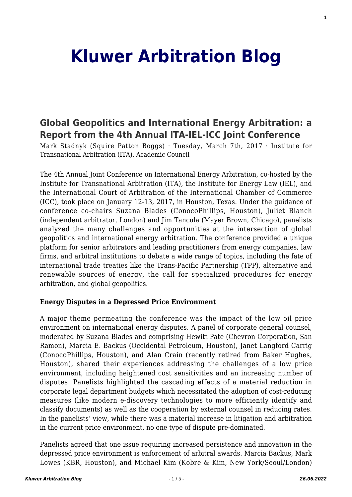# **[Kluwer Arbitration Blog](http://arbitrationblog.kluwerarbitration.com/)**

# **[Global Geopolitics and International Energy Arbitration: a](http://arbitrationblog.kluwerarbitration.com/2017/03/07/global-geopolitics-and-international-energy-arbitration-a-report-from-the-4th-annual-ita-iel-icc-joint-conference/) [Report from the 4th Annual ITA-IEL-ICC Joint Conference](http://arbitrationblog.kluwerarbitration.com/2017/03/07/global-geopolitics-and-international-energy-arbitration-a-report-from-the-4th-annual-ita-iel-icc-joint-conference/)**

Mark Stadnyk (Squire Patton Boggs) · Tuesday, March 7th, 2017 · Institute for Transnational Arbitration (ITA), Academic Council

The 4th Annual Joint Conference on International Energy Arbitration, co-hosted by the Institute for Transnational Arbitration (ITA), the Institute for Energy Law (IEL), and the International Court of Arbitration of the International Chamber of Commerce (ICC), took place on January 12-13, 2017, in Houston, Texas. Under the guidance of conference co-chairs Suzana Blades (ConocoPhillips, Houston), Juliet Blanch (independent arbitrator, London) and Jim Tancula (Mayer Brown, Chicago), panelists analyzed the many challenges and opportunities at the intersection of global geopolitics and international energy arbitration. The conference provided a unique platform for senior arbitrators and leading practitioners from energy companies, law firms, and arbitral institutions to debate a wide range of topics, including the fate of international trade treaties like the Trans-Pacific Partnership (TPP), alternative and renewable sources of energy, the call for specialized procedures for energy arbitration, and global geopolitics.

#### **Energy Disputes in a Depressed Price Environment**

A major theme permeating the conference was the impact of the low oil price environment on international energy disputes. A panel of corporate general counsel, moderated by Suzana Blades and comprising Hewitt Pate (Chevron Corporation, San Ramon), Marcia E. Backus (Occidental Petroleum, Houston), Janet Langford Carrig (ConocoPhillips, Houston), and Alan Crain (recently retired from Baker Hughes, Houston), shared their experiences addressing the challenges of a low price environment, including heightened cost sensitivities and an increasing number of disputes. Panelists highlighted the cascading effects of a material reduction in corporate legal department budgets which necessitated the adoption of cost-reducing measures (like modern e-discovery technologies to more efficiently identify and classify documents) as well as the cooperation by external counsel in reducing rates. In the panelists' view, while there was a material increase in litigation and arbitration in the current price environment, no one type of dispute pre-dominated.

Panelists agreed that one issue requiring increased persistence and innovation in the depressed price environment is enforcement of arbitral awards. Marcia Backus, Mark Lowes (KBR, Houston), and Michael Kim (Kobre & Kim, New York/Seoul/London)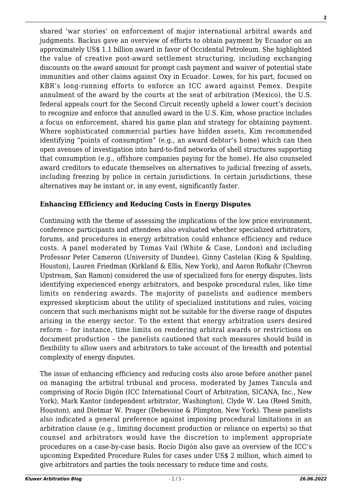shared 'war stories' on enforcement of major international arbitral awards and judgments. Backus gave an overview of efforts to obtain payment by Ecuador on an approximately US\$ 1.1 billion award in favor of Occidental Petroleum. She highlighted the value of creative post-award settlement structuring, including exchanging discounts on the award amount for prompt cash payment and waiver of potential state immunities and other claims against Oxy in Ecuador. Lowes, for his part, focused on KBR's long-running efforts to enforce an ICC award against Pemex. Despite annulment of the award by the courts at the seat of arbitration (Mexico), the U.S. federal appeals court for the Second Circuit recently upheld a lower court's decision to recognize and enforce that annulled award in the U.S. Kim, whose practice includes a focus on enforcement, shared his game plan and strategy for obtaining payment. Where sophisticated commercial parties have hidden assets, Kim recommended identifying "points of consumption" (e.g., an award debtor's home) which can then open avenues of investigation into hard-to-find networks of shell structures supporting that consumption (e.g., offshore companies paying for the home). He also counseled award creditors to educate themselves on alternatives to judicial freezing of assets, including freezing by police in certain jurisdictions. In certain jurisdictions, these alternatives may be instant or, in any event, significantly faster.

# **Enhancing Efficiency and Reducing Costs in Energy Disputes**

Continuing with the theme of assessing the implications of the low price environment, conference participants and attendees also evaluated whether specialized arbitrators, forums, and procedures in energy arbitration could enhance efficiency and reduce costs. A panel moderated by Tomas Vail (White & Case, London) and including Professor Peter Cameron (University of Dundee), Ginny Castelan (King & Spalding, Houston), Lauren Friedman (Kirkland & Ellis, New York), and Aaron Rofkahr (Chevron Upstream, San Ramon) considered the use of specialized fora for energy disputes, lists identifying experienced energy arbitrators, and bespoke procedural rules, like time limits on rendering awards. The majority of panelists and audience members expressed skepticism about the utility of specialized institutions and rules, voicing concern that such mechanisms might not be suitable for the diverse range of disputes arising in the energy sector. To the extent that energy arbitration users desired reform – for instance, time limits on rendering arbitral awards or restrictions on document production – the panelists cautioned that such measures should build in flexibility to allow users and arbitrators to take account of the breadth and potential complexity of energy disputes.

The issue of enhancing efficiency and reducing costs also arose before another panel on managing the arbitral tribunal and process, moderated by James Tancula and comprising of Rocío Digón (ICC International Court of Arbitration, SICANA, Inc., New York), Mark Kantor (independent arbitrator, Washington), Clyde W. Lea (Reed Smith, Houston), and Dietmar W. Prager (Debevoise & Plimpton, New York). These panelists also indicated a general preference against imposing procedural limitations in an arbitration clause (e.g., limiting document production or reliance on experts) so that counsel and arbitrators would have the discretion to implement appropriate procedures on a case-by-case basis. Rocío Digón also gave an overview of the ICC's upcoming Expedited Procedure Rules for cases under US\$ 2 million, which aimed to give arbitrators and parties the tools necessary to reduce time and costs.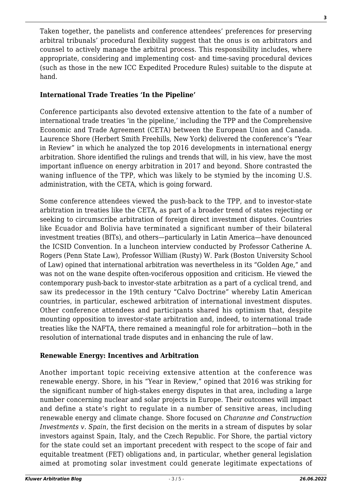Taken together, the panelists and conference attendees' preferences for preserving arbitral tribunals' procedural flexibility suggest that the onus is on arbitrators and counsel to actively manage the arbitral process. This responsibility includes, where appropriate, considering and implementing cost- and time-saving procedural devices (such as those in the new ICC Expedited Procedure Rules) suitable to the dispute at hand.

## **International Trade Treaties 'In the Pipeline'**

Conference participants also devoted extensive attention to the fate of a number of international trade treaties 'in the pipeline,' including the TPP and the Comprehensive Economic and Trade Agreement (CETA) between the European Union and Canada. Laurence Shore (Herbert Smith Freehills, New York) delivered the conference's "Year in Review" in which he analyzed the top 2016 developments in international energy arbitration. Shore identified the rulings and trends that will, in his view, have the most important influence on energy arbitration in 2017 and beyond. Shore contrasted the waning influence of the TPP, which was likely to be stymied by the incoming U.S. administration, with the CETA, which is going forward.

Some conference attendees viewed the push-back to the TPP, and to investor-state arbitration in treaties like the CETA, as part of a broader trend of states rejecting or seeking to circumscribe arbitration of foreign direct investment disputes. Countries like Ecuador and Bolivia have terminated a significant number of their bilateral investment treaties (BITs), and others—particularly in Latin America—have denounced the ICSID Convention. In a luncheon interview conducted by Professor Catherine A. Rogers (Penn State Law), Professor William (Rusty) W. Park (Boston University School of Law) opined that international arbitration was nevertheless in its "Golden Age," and was not on the wane despite often-vociferous opposition and criticism. He viewed the contemporary push-back to investor-state arbitration as a part of a cyclical trend, and saw its predecessor in the 19th century "Calvo Doctrine" whereby Latin American countries, in particular, eschewed arbitration of international investment disputes. Other conference attendees and participants shared his optimism that, despite mounting opposition to investor-state arbitration and, indeed, to international trade treaties like the NAFTA, there remained a meaningful role for arbitration—both in the resolution of international trade disputes and in enhancing the rule of law.

### **Renewable Energy: Incentives and Arbitration**

Another important topic receiving extensive attention at the conference was renewable energy. Shore, in his "Year in Review," opined that 2016 was striking for the significant number of high-stakes energy disputes in that area, including a large number concerning nuclear and solar projects in Europe. Their outcomes will impact and define a state's right to regulate in a number of sensitive areas, including renewable energy and climate change. Shore focused on *Charanne and Construction Investments v. Spain*, the first decision on the merits in a stream of disputes by solar investors against Spain, Italy, and the Czech Republic. For Shore, the partial victory for the state could set an important precedent with respect to the scope of fair and equitable treatment (FET) obligations and, in particular, whether general legislation aimed at promoting solar investment could generate legitimate expectations of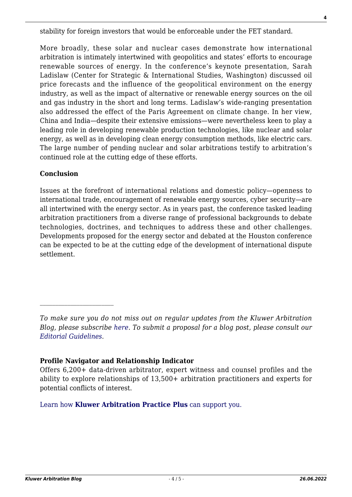stability for foreign investors that would be enforceable under the FET standard.

More broadly, these solar and nuclear cases demonstrate how international arbitration is intimately intertwined with geopolitics and states' efforts to encourage renewable sources of energy. In the conference's keynote presentation, Sarah Ladislaw (Center for Strategic & International Studies, Washington) discussed oil price forecasts and the influence of the geopolitical environment on the energy industry, as well as the impact of alternative or renewable energy sources on the oil and gas industry in the short and long terms. Ladislaw's wide-ranging presentation also addressed the effect of the Paris Agreement on climate change. In her view, China and India—despite their extensive emissions—were nevertheless keen to play a leading role in developing renewable production technologies, like nuclear and solar energy, as well as in developing clean energy consumption methods, like electric cars. The large number of pending nuclear and solar arbitrations testify to arbitration's continued role at the cutting edge of these efforts.

#### **Conclusion**

Issues at the forefront of international relations and domestic policy—openness to international trade, encouragement of renewable energy sources, cyber security—are all intertwined with the energy sector. As in years past, the conference tasked leading arbitration practitioners from a diverse range of professional backgrounds to debate technologies, doctrines, and techniques to address these and other challenges. Developments proposed for the energy sector and debated at the Houston conference can be expected to be at the cutting edge of the development of international dispute settlement.

#### **Profile Navigator and Relationship Indicator**

Offers 6,200+ data-driven arbitrator, expert witness and counsel profiles and the ability to explore relationships of 13,500+ arbitration practitioners and experts for potential conflicts of interest.

[Learn how](https://www.wolterskluwer.com/en/solutions/kluwerarbitration/practiceplus?utm_source=arbitrationblog&utm_medium=articleCTA&utm_campaign=article-banner) **[Kluwer Arbitration Practice Plus](https://www.wolterskluwer.com/en/solutions/kluwerarbitration/practiceplus?utm_source=arbitrationblog&utm_medium=articleCTA&utm_campaign=article-banner)** [can support you.](https://www.wolterskluwer.com/en/solutions/kluwerarbitration/practiceplus?utm_source=arbitrationblog&utm_medium=articleCTA&utm_campaign=article-banner)

*To make sure you do not miss out on regular updates from the Kluwer Arbitration Blog, please subscribe [here](http://arbitrationblog.kluwerarbitration.com/newsletter/). To submit a proposal for a blog post, please consult our [Editorial Guidelines.](http://arbitrationblog.kluwerarbitration.com/editorial-guidelines/)*